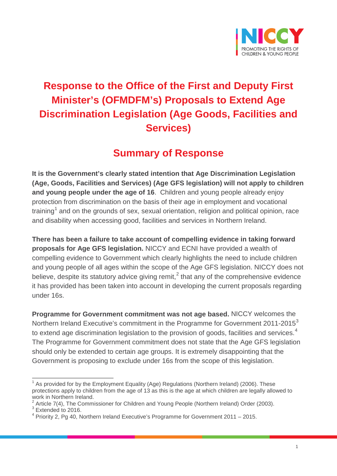

# **Response to the Office of the First and Deputy First Minister's (OFMDFM's) Proposals to Extend Age Discrimination Legislation (Age Goods, Facilities and Services)**

## **Summary of Response**

**It is the Government's clearly stated intention that Age Discrimination Legislation (Age, Goods, Facilities and Services) (Age GFS legislation) will not apply to children and young people under the age of 16**. Children and young people already enjoy protection from discrimination on the basis of their age in employment and vocational training<sup>[1](#page-0-0)</sup> and on the grounds of sex, sexual orientation, religion and political opinion, race and disability when accessing good, facilities and services in Northern Ireland.

**There has been a failure to take account of compelling evidence in taking forward proposals for Age GFS legislation.** NICCY and ECNI have provided a wealth of compelling evidence to Government which clearly highlights the need to include children and young people of all ages within the scope of the Age GFS legislation. NICCY does not believe, despite its statutory advice giving remit,<sup>[2](#page-0-1)</sup> that any of the comprehensive evidence it has provided has been taken into account in developing the current proposals regarding under 16s.

**Programme for Government commitment was not age based.** NICCY welcomes the Northern Ireland Executive's commitment in the Programme for Government 2011-2015<sup>[3](#page-0-2)</sup> to extend age discrimination legislation to the provision of goods, facilities and services.<sup>[4](#page-0-3)</sup> The Programme for Government commitment does not state that the Age GFS legislation should only be extended to certain age groups. It is extremely disappointing that the Government is proposing to exclude under 16s from the scope of this legislation.

<span id="page-0-0"></span> $1$  As provided for by the Employment Equality (Age) Regulations (Northern Ireland) (2006). These protections apply to children from the age of 13 as this is the age at which children are legally allowed to work in Northern Ireland.

<span id="page-0-2"></span><span id="page-0-1"></span><sup>&</sup>lt;sup>2</sup> Article 7(4), The Commissioner for Children and Young People (Northern Ireland) Order (2003). <sup>3</sup> Extended to 2016.

<span id="page-0-3"></span> $4$  Priority 2, Pg 40, Northern Ireland Executive's Programme for Government 2011 – 2015.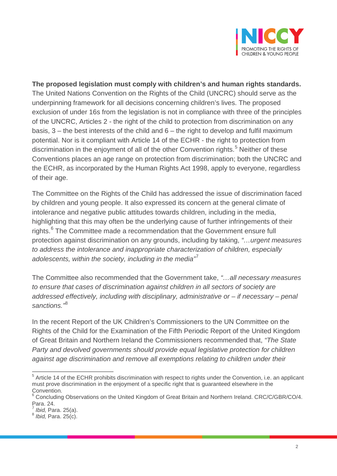

**The proposed legislation must comply with children's and human rights standards.** The United Nations Convention on the Rights of the Child (UNCRC) should serve as the underpinning framework for all decisions concerning children's lives. The proposed exclusion of under 16s from the legislation is not in compliance with three of the principles of the UNCRC, Articles 2 - the right of the child to protection from discrimination on any basis,  $3$  – the best interests of the child and  $6$  – the right to develop and fulfil maximum potential. Nor is it compliant with Article 14 of the ECHR - the right to protection from discrimination in the enjoyment of all of the other Convention rights. [5](#page-1-0) Neither of these Conventions places an age range on protection from discrimination; both the UNCRC and the ECHR, as incorporated by the Human Rights Act 1998, apply to everyone, regardless of their age.

The Committee on the Rights of the Child has addressed the issue of discrimination faced by children and young people. It also expressed its concern at the general climate of intolerance and negative public attitudes towards children, including in the media, highlighting that this may often be the underlying cause of further infringements of their rights.<sup>[6](#page-1-1)</sup> The Committee made a recommendation that the Government ensure full protection against discrimination on any grounds, including by taking, *"…urgent measures to address the intolerance and inappropriate characterization of children, especially adolescents, within the society, including in the media"*[7](#page-1-2)

The Committee also recommended that the Government take, *"…all necessary measures to ensure that cases of discrimination against children in all sectors of society are addressed effectively, including with disciplinary, administrative or – if necessary – penal sanctions."*[8](#page-1-3)

In the recent Report of the UK Children's Commissioners to the UN Committee on the Rights of the Child for the Examination of the Fifth Periodic Report of the United Kingdom of Great Britain and Northern Ireland the Commissioners recommended that, *"The State Party and devolved governments should provide equal legislative protection for children against age discrimination and remove all exemptions relating to children under their* 

<span id="page-1-0"></span><sup>&</sup>lt;sup>5</sup> Article 14 of the ECHR prohibits discrimination with respect to rights under the Convention, i.e. an applicant must prove discrimination in the enjoyment of a specific right that is guaranteed elsewhere in the Convention.

<span id="page-1-1"></span><sup>&</sup>lt;sup>6</sup> Concluding Observations on the United Kingdom of Great Britain and Northern Ireland. CRC/C/GBR/CO/4. Para. 24.<br><sup>7</sup> Ibid, Para. 25(a).

<span id="page-1-2"></span>

<span id="page-1-3"></span><sup>&</sup>lt;sup>8</sup> *Ibid*, Para. 25(c).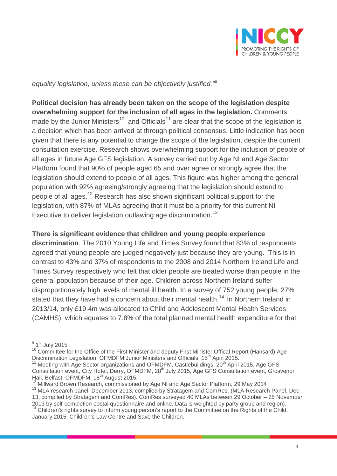

*equality legislation, unless these can be objectively justified."*[9](#page-2-0)

**Political decision has already been taken on the scope of the legislation despite overwhelming support for the inclusion of all ages in the legislation.** Comments made by the Junior Ministers<sup>[10](#page-2-1)</sup> and Officials<sup>[11](#page-2-2)</sup> are clear that the scope of the legislation is a decision which has been arrived at through political consensus. Little indication has been given that there is any potential to change the scope of the legislation, despite the current consultation exercise. Research shows overwhelming support for the inclusion of people of all ages in future Age GFS legislation. A survey carried out by Age NI and Age Sector Platform found that 90% of people aged 65 and over agree or strongly agree that the legislation should extend to people of all ages. This figure was higher among the general population with 92% agreeing/strongly agreeing that the legislation should extend to people of all ages.<sup>[12](#page-2-3)</sup> Research has also shown significant political support for the legislation, with 87% of MLAs agreeing that it must be a priority for this current NI Executive to deliver legislation outlawing age discrimination.<sup>[13](#page-2-4)</sup>

#### **There is significant evidence that children and young people experience**

**discrimination**. The 2010 Young Life and Times Survey found that 83% of respondents agreed that young people are judged negatively just because they are young. This is in contrast to 43% and 37% of respondents to the 2008 and 2014 Northern Ireland Life and Times Survey respectively who felt that older people are treated worse than people in the general population because of their age. Children across Northern Ireland suffer disproportionately high levels of mental ill health. In a survey of 752 young people, 27% stated that they have had a concern about their mental health.<sup>[14](#page-2-5)</sup> In Northern Ireland in 2013/14, only £19.4m was allocated to Child and Adolescent Mental Health Services (CAMHS), which equates to 7.8% of the total planned mental health expenditure for that

<span id="page-2-4"></span><span id="page-2-3"></span>

<span id="page-2-5"></span><sup>14</sup> Children's rights survey to inform young person's report to the Committee on the Rights of the Child, January 2015, Children's Law Centre and Save the Children.

<span id="page-2-0"></span><sup>&</sup>lt;sup>9</sup> 1<sup>st</sup> July 2015

<span id="page-2-1"></span><sup>&</sup>lt;sup>10</sup> Committee for the Office of the First Minister and deputy First Minister Offical Report (Hansard) Age Discrimination Legislation: OFMDFM Junior Ministers and Officials, 15<sup>th</sup> April 2015.

<span id="page-2-2"></span> $11$  Meeting with Age Sector organizations and OFMDFM, Castlebuildings,  $20<sup>th</sup>$  April 2015, Age GFS Consultation event, City Hotel, Derry, OFMDFM, 28<sup>th</sup> July 2015, Age GFS Consultation event, Grosvenor Hall, Belfast, OFMDFM, 18<sup>th</sup> August 2015.

 $^{12}$  Millward Brown Research, commissioned by Age NI and Age Sector Platform, 29 May 2014<br> $^{13}$  MLA research panel, December 2013, complied by Stratagem and ComRes. (MLA Research Panel, Dec 13, compiled by Stratagem and ComRes). ComRes surveyed 40 MLAs between 29 October – 25 November<br>2013 by self-completion postal questionnaire and online. Data is weighted by party group and region).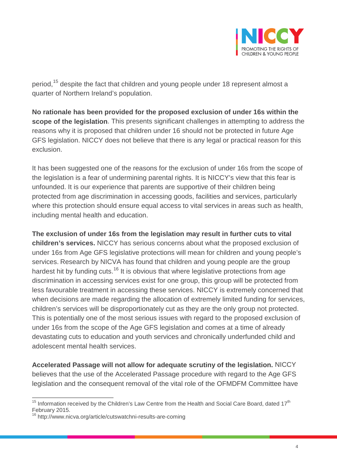

period,<sup>[15](#page-3-0)</sup> despite the fact that children and young people under 18 represent almost a quarter of Northern Ireland's population.

**No rationale has been provided for the proposed exclusion of under 16s within the scope of the legislation**. This presents significant challenges in attempting to address the reasons why it is proposed that children under 16 should not be protected in future Age GFS legislation. NICCY does not believe that there is any legal or practical reason for this exclusion.

It has been suggested one of the reasons for the exclusion of under 16s from the scope of the legislation is a fear of undermining parental rights. It is NICCY's view that this fear is unfounded. It is our experience that parents are supportive of their children being protected from age discrimination in accessing goods, facilities and services, particularly where this protection should ensure equal access to vital services in areas such as health, including mental health and education.

**The exclusion of under 16s from the legislation may result in further cuts to vital children's services.** NICCY has serious concerns about what the proposed exclusion of under 16s from Age GFS legislative protections will mean for children and young people's services. Research by NICVA has found that children and young people are the group hardest hit by funding cuts.<sup>[16](#page-3-1)</sup> It is obvious that where legislative protections from age discrimination in accessing services exist for one group, this group will be protected from less favourable treatment in accessing these services. NICCY is extremely concerned that when decisions are made regarding the allocation of extremely limited funding for services, children's services will be disproportionately cut as they are the only group not protected. This is potentially one of the most serious issues with regard to the proposed exclusion of under 16s from the scope of the Age GFS legislation and comes at a time of already devastating cuts to education and youth services and chronically underfunded child and adolescent mental health services.

**Accelerated Passage will not allow for adequate scrutiny of the legislation.** NICCY believes that the use of the Accelerated Passage procedure with regard to the Age GFS legislation and the consequent removal of the vital role of the OFMDFM Committee have

<span id="page-3-0"></span> $15$  Information received by the Children's Law Centre from the Health and Social Care Board, dated  $17<sup>th</sup>$ February 2015.

<span id="page-3-1"></span><sup>&</sup>lt;sup>16</sup> http://www.nicva.org/article/cutswatchni-results-are-coming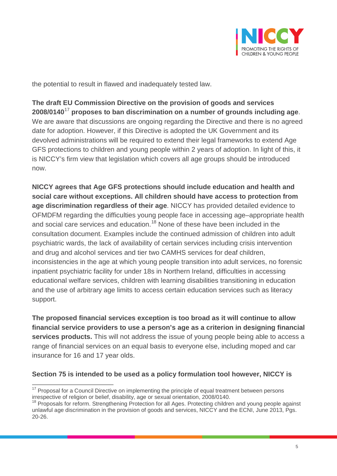

the potential to result in flawed and inadequately tested law.

**The draft EU Commission Directive on the provision of goods and services 2008/0140**[17](#page-4-0) **proposes to ban discrimination on a number of grounds including age**. We are aware that discussions are ongoing regarding the Directive and there is no agreed date for adoption. However, if this Directive is adopted the UK Government and its devolved administrations will be required to extend their legal frameworks to extend Age GFS protections to children and young people within 2 years of adoption. In light of this, it is NICCY's firm view that legislation which covers all age groups should be introduced now.

**NICCY agrees that Age GFS protections should include education and health and social care without exceptions. All children should have access to protection from age discrimination regardless of their age**. NICCY has provided detailed evidence to OFMDFM regarding the difficulties young people face in accessing age–appropriate health and social care services and education.<sup>[18](#page-4-1)</sup> None of these have been included in the consultation document. Examples include the continued admission of children into adult psychiatric wards, the lack of availability of certain services including crisis intervention and drug and alcohol services and tier two CAMHS services for deaf children, inconsistencies in the age at which young people transition into adult services, no forensic inpatient psychiatric facility for under 18s in Northern Ireland, difficulties in accessing educational welfare services, children with learning disabilities transitioning in education and the use of arbitrary age limits to access certain education services such as literacy support.

**The proposed financial services exception is too broad as it will continue to allow financial service providers to use a person's age as a criterion in designing financial services products.** This will not address the issue of young people being able to access a range of financial services on an equal basis to everyone else, including moped and car insurance for 16 and 17 year olds.

### **Section 75 is intended to be used as a policy formulation tool however, NICCY is**

<span id="page-4-0"></span><sup>&</sup>lt;sup>17</sup> Proposal for a Council Directive on implementing the principle of equal treatment between persons irrespective of religion or belief, disability, age or sexual orientation, 2008/0140.

<span id="page-4-1"></span><sup>&</sup>lt;sup>18</sup> Proposals for reform. Strengthening Protection for all Ages. Protecting children and young people against unlawful age discrimination in the provision of goods and services, NICCY and the ECNI, June 2013, Pgs. 20-26.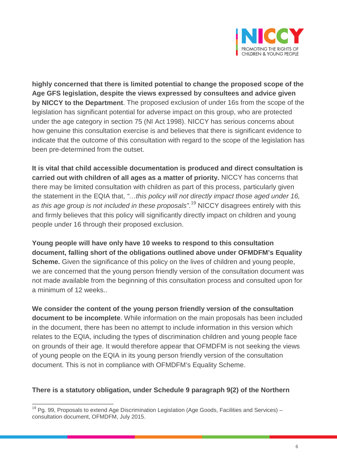

**highly concerned that there is limited potential to change the proposed scope of the Age GFS legislation, despite the views expressed by consultees and advice given by NICCY to the Department**. The proposed exclusion of under 16s from the scope of the legislation has significant potential for adverse impact on this group, who are protected under the age category in section 75 (NI Act 1998). NICCY has serious concerns about how genuine this consultation exercise is and believes that there is significant evidence to indicate that the outcome of this consultation with regard to the scope of the legislation has been pre-determined from the outset.

**It is vital that child accessible documentation is produced and direct consultation is carried out with children of all ages as a matter of priority.** NICCY has concerns that there may be limited consultation with children as part of this process, particularly given the statement in the EQIA that, *"…this policy will not directly impact those aged under 16, as this age group is not included in these proposals"*. [19](#page-5-0) NICCY disagrees entirely with this and firmly believes that this policy will significantly directly impact on children and young people under 16 through their proposed exclusion.

**Young people will have only have 10 weeks to respond to this consultation document, falling short of the obligations outlined above under OFMDFM's Equality Scheme.** Given the significance of this policy on the lives of children and young people, we are concerned that the young person friendly version of the consultation document was not made available from the beginning of this consultation process and consulted upon for a minimum of 12 weeks..

**We consider the content of the young person friendly version of the consultation document to be incomplete**. While information on the main proposals has been included in the document, there has been no attempt to include information in this version which relates to the EQIA, including the types of discrimination children and young people face on grounds of their age. It would therefore appear that OFMDFM is not seeking the views of young people on the EQIA in its young person friendly version of the consultation document. This is not in compliance with OFMDFM's Equality Scheme.

#### **There is a statutory obligation, under Schedule 9 paragraph 9(2) of the Northern**

<span id="page-5-0"></span> $19$  Pg. 99, Proposals to extend Age Discrimination Legislation (Age Goods, Facilities and Services) – consultation document, OFMDFM, July 2015.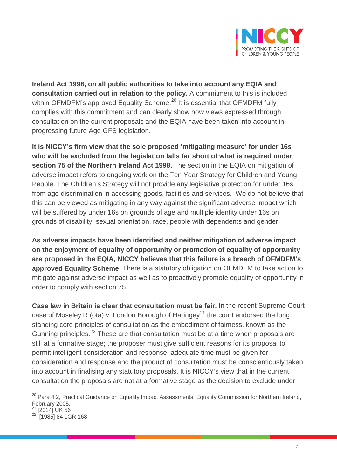

**Ireland Act 1998, on all public authorities to take into account any EQIA and consultation carried out in relation to the policy.** A commitment to this is included within OFMDFM's approved Equality Scheme.<sup>[20](#page-6-0)</sup> It is essential that OFMDFM fully complies with this commitment and can clearly show how views expressed through consultation on the current proposals and the EQIA have been taken into account in progressing future Age GFS legislation.

**It is NICCY's firm view that the sole proposed 'mitigating measure' for under 16s who will be excluded from the legislation falls far short of what is required under section 75 of the Northern Ireland Act 1998.** The section in the EQIA on mitigation of adverse impact refers to ongoing work on the Ten Year Strategy for Children and Young People. The Children's Strategy will not provide any legislative protection for under 16s from age discrimination in accessing goods, facilities and services. We do not believe that this can be viewed as mitigating in any way against the significant adverse impact which will be suffered by under 16s on grounds of age and multiple identity under 16s on grounds of disability, sexual orientation, race, people with dependents and gender.

**As adverse impacts have been identified and neither mitigation of adverse impact on the enjoyment of equality of opportunity or promotion of equality of opportunity are proposed in the EQIA, NICCY believes that this failure is a breach of OFMDFM's approved Equality Scheme**. There is a statutory obligation on OFMDFM to take action to mitigate against adverse impact as well as to proactively promote equality of opportunity in order to comply with section 75.

**Case law in Britain is clear that consultation must be fair.** In the recent Supreme Court case of Moseley R (ota) v. London Borough of Haringey<sup>[21](#page-6-1)</sup> the court endorsed the long standing core principles of consultation as the embodiment of fairness, known as the Gunning principles.<sup>[22](#page-6-2)</sup> These are that consultation must be at a time when proposals are still at a formative stage; the proposer must give sufficient reasons for its proposal to permit intelligent consideration and response; adequate time must be given for consideration and response and the product of consultation must be conscientiously taken into account in finalising any statutory proposals. It is NICCY's view that in the current consultation the proposals are not at a formative stage as the decision to exclude under

<span id="page-6-0"></span><sup>&</sup>lt;sup>20</sup> Para 4.2, Practical Guidance on Equality Impact Assessments, Equality Commission for Northern Ireland, February 2005.

 $21$  [2014] UK 56

<span id="page-6-2"></span><span id="page-6-1"></span><sup>22 [1985] 84</sup> LGR 168